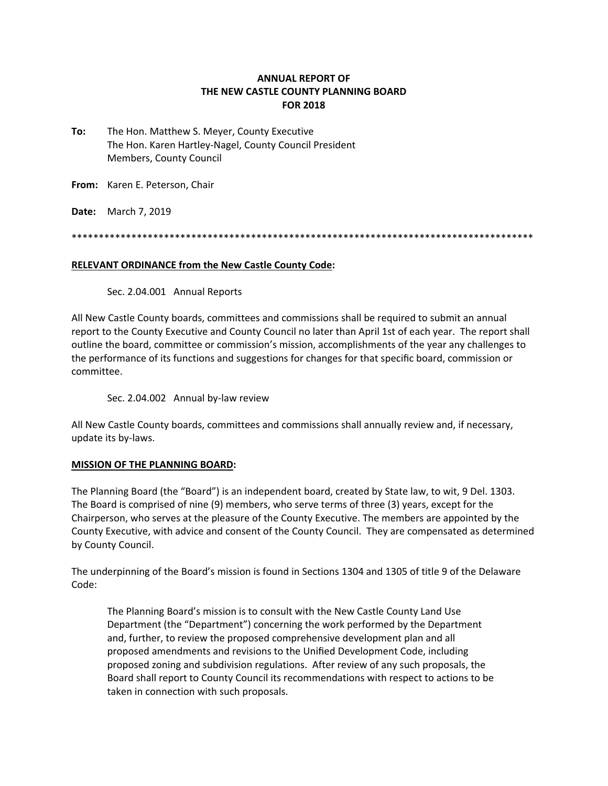## **ANNUAL REPORT OF THE NEW CASTLE COUNTY PLANNING BOARD FOR 2018**

**To:** The Hon. Matthew S. Meyer, County Executive The Hon. Karen Hartley‐Nagel, County Council President Members, County Council

**From:** Karen E. Peterson, Chair

**Date:** March 7, 2019

\*\*\*\*\*\*\*\*\*\*\*\*\*\*\*\*\*\*\*\*\*\*\*\*\*\*\*\*\*\*\*\*\*\*\*\*\*\*\*\*\*\*\*\*\*\*\*\*\*\*\*\*\*\*\*\*\*\*\*\*\*\*\*\*\*\*\*\*\*\*\*\*\*\*\*\*\*\*\*\*\*\*\*\*\*

### **RELEVANT ORDINANCE from the New Castle County Code:**

Sec. 2.04.001 Annual Reports

All New Castle County boards, committees and commissions shall be required to submit an annual report to the County Executive and County Council no later than April 1st of each year. The report shall outline the board, committee or commission's mission, accomplishments of the year any challenges to the performance of its functions and suggestions for changes for that specific board, commission or committee.

Sec. 2.04.002 Annual by-law review

All New Castle County boards, committees and commissions shall annually review and, if necessary, update its by‐laws.

### **MISSION OF THE PLANNING BOARD:**

The Planning Board (the "Board") is an independent board, created by State law, to wit, 9 Del. 1303. The Board is comprised of nine (9) members, who serve terms of three (3) years, except for the Chairperson, who serves at the pleasure of the County Executive. The members are appointed by the County Executive, with advice and consent of the County Council. They are compensated as determined by County Council.

The underpinning of the Board's mission is found in Sections 1304 and 1305 of title 9 of the Delaware Code:

The Planning Board's mission is to consult with the New Castle County Land Use Department (the "Department") concerning the work performed by the Department and, further, to review the proposed comprehensive development plan and all proposed amendments and revisions to the Unified Development Code, including proposed zoning and subdivision regulations. After review of any such proposals, the Board shall report to County Council its recommendations with respect to actions to be taken in connection with such proposals.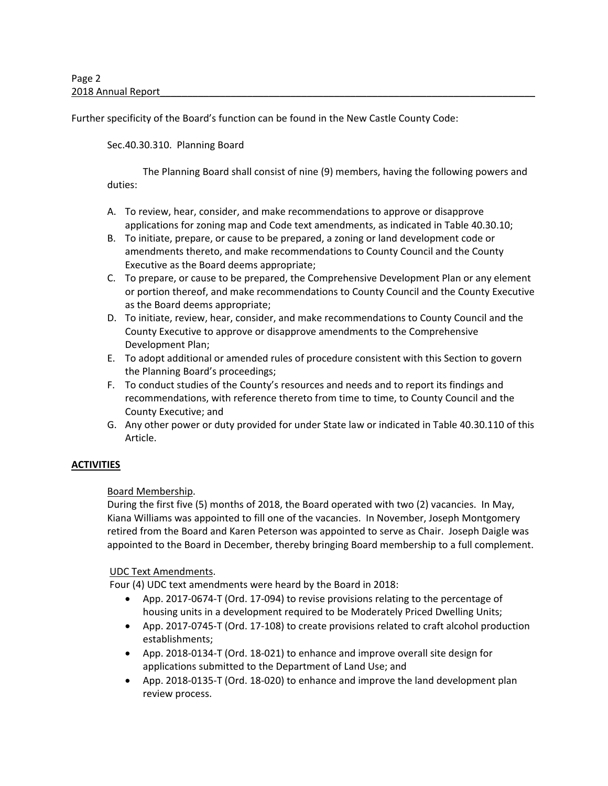Further specificity of the Board's function can be found in the New Castle County Code:

## Sec.40.30.310. Planning Board

The Planning Board shall consist of nine (9) members, having the following powers and duties:

- A. To review, hear, consider, and make recommendations to approve or disapprove applications for zoning map and Code text amendments, as indicated in Table 40.30.10;
- B. To initiate, prepare, or cause to be prepared, a zoning or land development code or amendments thereto, and make recommendations to County Council and the County Executive as the Board deems appropriate;
- C. To prepare, or cause to be prepared, the Comprehensive Development Plan or any element or portion thereof, and make recommendations to County Council and the County Executive as the Board deems appropriate;
- D. To initiate, review, hear, consider, and make recommendations to County Council and the County Executive to approve or disapprove amendments to the Comprehensive Development Plan;
- E. To adopt additional or amended rules of procedure consistent with this Section to govern the Planning Board's proceedings;
- F. To conduct studies of the County's resources and needs and to report its findings and recommendations, with reference thereto from time to time, to County Council and the County Executive; and
- G. Any other power or duty provided for under State law or indicated in Table 40.30.110 of this Article.

# **ACTIVITIES**

# Board Membership.

During the first five (5) months of 2018, the Board operated with two (2) vacancies. In May, Kiana Williams was appointed to fill one of the vacancies. In November, Joseph Montgomery retired from the Board and Karen Peterson was appointed to serve as Chair. Joseph Daigle was appointed to the Board in December, thereby bringing Board membership to a full complement.

### UDC Text Amendments.

Four (4) UDC text amendments were heard by the Board in 2018:

- App. 2017‐0674‐T (Ord. 17‐094) to revise provisions relating to the percentage of housing units in a development required to be Moderately Priced Dwelling Units;
- App. 2017‐0745‐T (Ord. 17‐108) to create provisions related to craft alcohol production establishments;
- App. 2018‐0134‐T (Ord. 18‐021) to enhance and improve overall site design for applications submitted to the Department of Land Use; and
- App. 2018‐0135‐T (Ord. 18‐020) to enhance and improve the land development plan review process.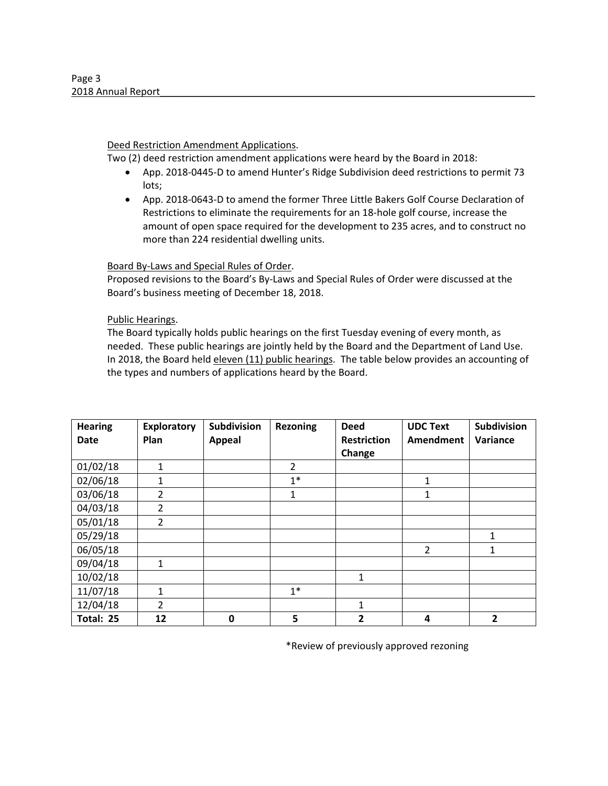### Deed Restriction Amendment Applications.

Two (2) deed restriction amendment applications were heard by the Board in 2018:

- App. 2018‐0445‐D to amend Hunter's Ridge Subdivision deed restrictions to permit 73 lots;
- App. 2018‐0643‐D to amend the former Three Little Bakers Golf Course Declaration of Restrictions to eliminate the requirements for an 18‐hole golf course, increase the amount of open space required for the development to 235 acres, and to construct no more than 224 residential dwelling units.

Board By‐Laws and Special Rules of Order.

Proposed revisions to the Board's By‐Laws and Special Rules of Order were discussed at the Board's business meeting of December 18, 2018.

### Public Hearings.

The Board typically holds public hearings on the first Tuesday evening of every month, as needed. These public hearings are jointly held by the Board and the Department of Land Use. In 2018, the Board held eleven (11) public hearings. The table below provides an accounting of the types and numbers of applications heard by the Board.

| <b>Hearing</b> | <b>Exploratory</b> | Subdivision   | <b>Rezoning</b> | <b>Deed</b>        | <b>UDC Text</b> | Subdivision  |
|----------------|--------------------|---------------|-----------------|--------------------|-----------------|--------------|
| Date           | Plan               | <b>Appeal</b> |                 | <b>Restriction</b> | Amendment       | Variance     |
|                |                    |               |                 | Change             |                 |              |
| 01/02/18       | 1                  |               | $\overline{2}$  |                    |                 |              |
| 02/06/18       | $\mathbf{1}$       |               | $1*$            |                    | 1               |              |
| 03/06/18       | 2                  |               | 1               |                    | 1               |              |
| 04/03/18       | $\overline{2}$     |               |                 |                    |                 |              |
| 05/01/18       | $\overline{2}$     |               |                 |                    |                 |              |
| 05/29/18       |                    |               |                 |                    |                 | 1            |
| 06/05/18       |                    |               |                 |                    | $\overline{2}$  | $\mathbf{1}$ |
| 09/04/18       | 1                  |               |                 |                    |                 |              |
| 10/02/18       |                    |               |                 | 1                  |                 |              |
| 11/07/18       | 1                  |               | $1*$            |                    |                 |              |
| 12/04/18       | 2                  |               |                 | 1                  |                 |              |
| Total: 25      | 12                 | 0             | 5               | $\overline{2}$     | 4               | 2            |

\*Review of previously approved rezoning